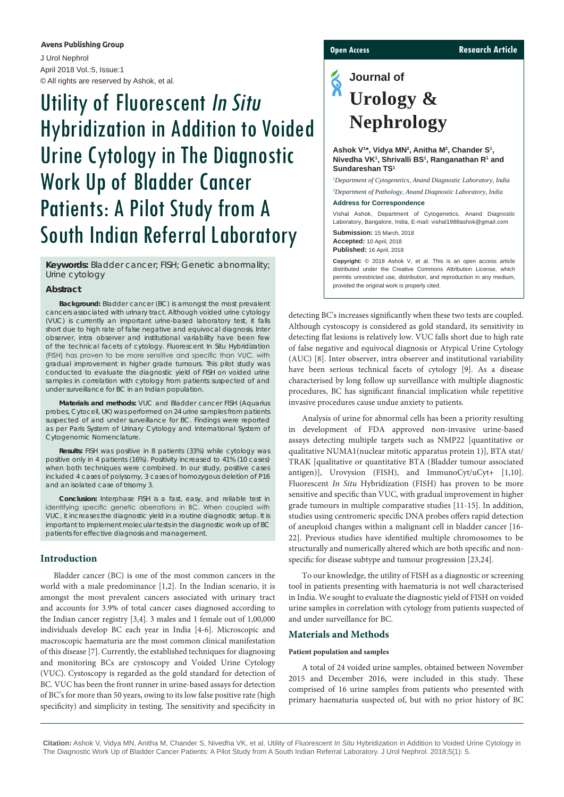#### **Avens Publishing Group**

J Urol Nephrol April 2018 Vol.:5, Issue:1 © All rights are reserved by Ashok, et al.

# Utility of Fluorescent In Situ Hybridization in Addition to Voided Urine Cytology in The Diagnostic Work Up of Bladder Cancer Patients: A Pilot Study from A South Indian Referral Laboratory

**Keywords:** Bladder cancer; FISH; Genetic abnormality; Urine cytology

#### **Abstract**

**Background:** Bladder cancer (BC) is amongst the most prevalent cancers associated with urinary tract. Although voided urine cytology (VUC) is currently an important urine-based laboratory test, it falls short due to high rate of false negative and equivocal diagnosis. Inter observer, intra observer and institutional variability have been few of the technical facets of cytology. Fluorescent *In Situ* Hybridization (FISH) has proven to be more sensitive and specific than VUC, with gradual improvement in higher grade tumours. This pilot study was conducted to evaluate the diagnostic yield of FISH on voided urine samples in correlation with cytology from patients suspected of and under surveillance for BC in an Indian population.

**Materials and methods:** VUC and Bladder cancer FISH (Aquarius probes, Cytocell, UK) was performed on 24 urine samples from patients suspected of and under surveillance for BC. Findings were reported as per Paris System of Urinary Cytology and International System of Cytogenomic Nomenclature.

**Results:** FISH was positive in 8 patients (33%) while cytology was positive only in 4 patients (16%). Positivity increased to 41% (10 cases) when both techniques were combined. In our study, positive cases included 4 cases of polysomy, 3 cases of homozygous deletion of P16 and an isolated case of trisomy 3.

**Conclusion:** Interphase FISH is a fast, easy, and reliable test in identifying specific genetic aberrations in BC. When coupled with VUC, it increases the diagnostic yield in a routine diagnostic setup. It is important to implement molecular tests in the diagnostic work up of BC patients for effective diagnosis and management.

### **Introduction**

Bladder cancer (BC) is one of the most common cancers in the world with a male predominance [1,2]. In the Indian scenario, it is amongst the most prevalent cancers associated with urinary tract and accounts for 3.9% of total cancer cases diagnosed according to the Indian cancer registry [3,4]. 3 males and 1 female out of 1,00,000 individuals develop BC each year in India [4-6]. Microscopic and macroscopic haematuria are the most common clinical manifestation of this disease [7]. Currently, the established techniques for diagnosing and monitoring BCs are cystoscopy and Voided Urine Cytology (VUC). Cystoscopy is regarded as the gold standard for detection of BC. VUC has been the front runner in urine-based assays for detection of BC's for more than 50 years, owing to its low false positive rate (high specificity) and simplicity in testing. The sensitivity and specificity in

**Open Access Research Article**

## **Journal of Urology & Nephrology**

#### Ashok V<sup>1\*</sup>, Vidya MN<sup>2</sup>, Anitha M<sup>2</sup>, Chander S<sup>1</sup>, Nivedha VK<sup>1</sup>, Shrivalli BS<sup>1</sup>, Ranganathan R<sup>1</sup> and **Sundareshan TS1**

*1 Department of Cytogenetics, Anand Diagnostic Laboratory, India 2 Department of Pathology, Anand Diagnostic Laboratory, India* 

#### **Address for Correspondence**

Vishal Ashok, Department of Cytogenetics, Anand Diagnostic Laboratory, Bangalore, India, E-mail: vishal1988ashok@gmail.com

**Submission:** 15 March, 2018 **Accepted:** 10 April, 2018 **Published:** 16 April, 2018

**Copyright:** © 2018 Ashok V, et al. This is an open access article distributed under the Creative Commons Attribution License, which permits unrestricted use, distribution, and reproduction in any medium provided the original work is properly cited.

detecting BC's increases significantly when these two tests are coupled. Although cystoscopy is considered as gold standard, its sensitivity in detecting flat lesions is relatively low. VUC falls short due to high rate of false negative and equivocal diagnosis or Atypical Urine Cytology (AUC) [8]. Inter observer, intra observer and institutional variability have been serious technical facets of cytology [9]. As a disease characterised by long follow up surveillance with multiple diagnostic procedures, BC has significant financial implication while repetitive invasive procedures cause undue anxiety to patients.

Analysis of urine for abnormal cells has been a priority resulting in development of FDA approved non-invasive urine-based assays detecting multiple targets such as NMP22 [quantitative or qualitative NUMA1(nuclear mitotic apparatus protein 1)], BTA stat/ TRAK [qualitative or quantitative BTA (Bladder tumour associated antigen)], Urovysion (FISH), and ImmunoCyt/uCyt+ [1,10]. Fluorescent *In Situ* Hybridization (FISH) has proven to be more sensitive and specific than VUC, with gradual improvement in higher grade tumours in multiple comparative studies [11-15]. In addition, studies using centromeric specific DNA probes offers rapid detection of aneuploid changes within a malignant cell in bladder cancer [16- 22]. Previous studies have identified multiple chromosomes to be structurally and numerically altered which are both specific and nonspecific for disease subtype and tumour progression [23,24].

To our knowledge, the utility of FISH as a diagnostic or screening tool in patients presenting with haematuria is not well characterised in India. We sought to evaluate the diagnostic yield of FISH on voided urine samples in correlation with cytology from patients suspected of and under surveillance for BC.

#### **Materials and Methods**

#### **Patient population and samples**

A total of 24 voided urine samples, obtained between November 2015 and December 2016, were included in this study. These comprised of 16 urine samples from patients who presented with primary haematuria suspected of, but with no prior history of BC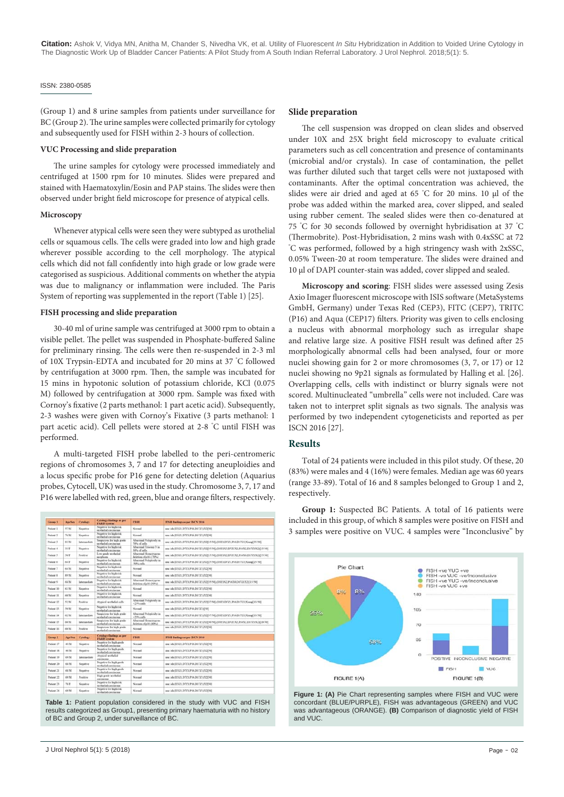#### ISSN: 2380-0585

(Group 1) and 8 urine samples from patients under surveillance for BC (Group 2). The urine samples were collected primarily for cytology and subsequently used for FISH within 2-3 hours of collection.

#### **VUC Processing and slide preparation**

The urine samples for cytology were processed immediately and centrifuged at 1500 rpm for 10 minutes. Slides were prepared and stained with Haematoxylin/Eosin and PAP stains. The slides were then observed under bright field microscope for presence of atypical cells.

#### **Microscopy**

Whenever atypical cells were seen they were subtyped as urothelial cells or squamous cells. The cells were graded into low and high grade wherever possible according to the cell morphology. The atypical cells which did not fall confidently into high grade or low grade were categorised as suspicious. Additional comments on whether the atypia was due to malignancy or inflammation were included. The Paris System of reporting was supplemented in the report (Table 1) [25].

#### **FISH processing and slide preparation**

30-40 ml of urine sample was centrifuged at 3000 rpm to obtain a visible pellet. The pellet was suspended in Phosphate-buffered Saline for preliminary rinsing. The cells were then re-suspended in 2-3 ml of 10X Trypsin-EDTA and incubated for 20 mins at 37 ° C followed by centrifugation at 3000 rpm. Then, the sample was incubated for 15 mins in hypotonic solution of potassium chloride, KCl (0.075 M) followed by centrifugation at 3000 rpm. Sample was fixed with Cornoy's fixative (2 parts methanol: 1 part acetic acid). Subsequently, 2-3 washes were given with Cornoy's Fixative (3 parts methanol: 1 part acetic acid). Cell pellets were stored at 2-8 ° C until FISH was performed.

A multi-targeted FISH probe labelled to the peri-centromeric regions of chromosomes 3, 7 and 17 for detecting aneuploidies and a locus specific probe for P16 gene for detecting deletion (Aquarius probes, Cytocell, UK) was used in the study. Chromosome 3, 7, 17 and P16 were labelled with red, green, blue and orange filters, respectively.

| Group 1     | <b>AgeSex</b>         | Cytolegy             | <b>Cytology findings as per</b><br><b>PARTS evident</b> | <b>FISH</b>                                    | FISH findings as per ISCN 2016                                                     |
|-------------|-----------------------|----------------------|---------------------------------------------------------|------------------------------------------------|------------------------------------------------------------------------------------|
| Patient 1   | 47/68                 | Negative             | Negative for high risk<br>senthelial execiscess.        | Normal                                         | noc ish (D321.D721.P16.D1721)X2f501                                                |
| Patient 2   | 26/58                 | Negative             | Negative for healt risk<br>prothelial carciareau        | Normal                                         | une ish (D321.D721.P16.D1721)X21501                                                |
| Patient 1   | 83/68                 | <b>International</b> | Sorgicizen for high grade<br>scotletist continents.     | Absorpted Polyphydy in<br>70% of cells         | mic ish (D3Z1,D7Z1,P16,D17Z1)X2(15/50);(D3Z1,D7Z1,P16,D17Z1)Xamp[35/50]            |
| Pulsed &    | 11/8                  | Negative             | Negotive for high risk<br>worthelial execinceus         | Abnormal Trisonw 3 in<br>30% of cells          | nne ish (D3Z1.D7Z1.P16.D17Z1)X2I35/801/D3Z1X3.D7Z1X2.P16X2.D17Z1X2)(15/50)         |
| Patient 5   | SNF                   | Positive             | Low wade sentheled<br>neoplasm                          | Abnormal Homozygom<br>deletion of p16 (.70%).  | une ish (D52). D72). P16.D1721)N2515/501/D321X2.D721X2.P16N0.D1721X2iC55/61        |
| Putient 6   | 6431                  | Negative             | Negative for high risk<br>spothelist carcinomy          | Abucenal Polyploidy in<br>SOLL calls           | nne ish (D3Z1,D7Z1,P16,D17Z1)X2525-501,(D3Z1,D7Z1,P16,D17Z1)Xang/25-501            |
| Patient 7   | 64/58                 | Negative             | Negative for high risk<br>senthelial exeripceus         | Normal                                         | unc ish (D3Z1.D7Z1.P16.D17Z1)X2[50]                                                |
| Patient R   | 89.35                 | Negative             | Negotive for high risk<br>neothelisd corcinomat         | Normal                                         | noc jsh (D3Z1 D2Z1 P16 D17Z1 (X21501)                                              |
| Patient 9   | 68.58                 | <b>Intermediate</b>  | Negative for high risk<br>profletial carcinomy          | Abnormal Homogypter<br>deletion of p16 (30%).  | mg ish (D321.D721.P16.D1721)X2(35/50)./D321X2.P16X0.D1721X2)(15/50]                |
| Patient 10  | 43.54                 | Negative             | Negative for high risk<br>urothelial carcinoma          | Normal                                         | noc ish (D3Z1,D7Z1,P16,D17Z1)X2[50]                                                |
| Putient 11  | 653.0                 | Negative             | Negative for high risk<br>seothelist carciactus.        | Normal                                         | me ish (D3Z1.D7Z1.P16.D1721)X2f501                                                 |
| Patient 12  | 52/58                 | Positive             | Atvescal senthelist cells.                              | Absorpted Polyphody in<br>$-2.994$ colls       | mu ish (D3Z1,D7Z1,P16,D17Z1)X2j37:50[,(D3Z1,D7Z1,P16,D17Z1)Xstap[13.90]            |
| Patient 11  | 50.51                 | Negative             | Negative for high risk<br>savethetisd associatorus.     | Normal                                         | une ish (D3Z1.D7Z1.P16.D17Z1)(50)                                                  |
| Patient 14  | 42/38                 | <b>Intermediate</b>  | Saqueions for high-grade<br>producted convincious       | Abnormal Polyphoidy in<br>$>2494$ cells        | me ish (D3Z1.D7Z1.P16.D17Z1)X2[37/50].(D3Z1.D7Z1.P16.D17Z1)Xxmp[13/50]             |
| Patient 15  | 6031                  | Intervne-Sate        | Sospicions for high grade<br>senthelist executors       | Absorts al Homorygons<br>deletion of p16 (40%) | mic ish (DSZ), D7Z), P16.D17Z) (X2J30/50], (DSZ) X2.D7Z) X2.P16X2.D17Z) X2j(20/50] |
| Patient 16  | 653.0                 | Positive             | Suspicious for high grade<br>senthelial corrisonus      | Normal                                         | nne ish (D3Z1.D7Z1.P16.D17Z13X2[50]                                                |
| Grego 2     | App <sup>1</sup> Sex. | <b>Crislary</b>      | <b>Cytology findings as per</b><br><b>PARIS cystem</b>  | <b>FIND</b>                                    | FISH findings as per ISCN 2818.                                                    |
| Patient 17  | <b>ASM</b>            | Negative             | Negative for high grade<br>scotleded continuous         | Normal                                         | mg ish (D321.D721.P16.D1721)X21501                                                 |
| Patient 18. | 48/M                  | Negative             | Negative for high grade<br>wetheled corrinema           | Normal                                         | ma: ish (D3Z1,D7Z1,P16,D17Z1)X2[50]                                                |
| Parient 19  | 69.34                 | Internachate         | Atypical mothelial<br>crecinents                        | Normal                                         | ana: ish (D3Z1.D7Z1.P16.D17Z1)X2[50]                                               |
| Patient 20  | 68/34                 | Negative             | Negative for high grade<br>wethelial carcinensa         | Normal                                         | mg ish (D3Z1.D7Z1.P16.D17Z1)X21501                                                 |
| Patient 21  | 68.34                 | Negative             | Negative for high grade<br>trothelisi continents.       | Normal                                         | mac ish (D321,D721,P16,D1721)X2590                                                 |
| Patient 22  | 69.34                 | Positive             | High grade prothetial<br>carcinerus                     | Normal                                         | mg ish (D3Z1.D7Z1.P16.D17Z11X2(50)                                                 |
| Putient 23  | <b>78.95</b>          | Negative             | Negative for high rok<br>sectional continents.          | Normal                                         | ma: ish (D3Z1.D7Z1.P16.D17Z1)X2[50]                                                |
| Patient 24  | 69.M.                 | Negative             | Negative for high risk<br>scotlarial continents.        | Normal                                         | mar.isls (D/L71.D72). P16.D17231X2(50).                                            |

**Table 1:** Patient population considered in the study with VUC and FISH results categorized as Group1, presenting primary haematuria with no history of BC and Group 2, under surveillance of BC.

#### **Slide preparation**

The cell suspension was dropped on clean slides and observed under 10X and 25X bright field microscopy to evaluate critical parameters such as cell concentration and presence of contaminants (microbial and/or crystals). In case of contamination, the pellet was further diluted such that target cells were not juxtaposed with contaminants. After the optimal concentration was achieved, the slides were air dried and aged at 65 °C for 20 mins. 10 µl of the probe was added within the marked area, cover slipped, and sealed using rubber cement. The sealed slides were then co-denatured at 75 ° C for 30 seconds followed by overnight hybridisation at 37 ° C (Thermobrite). Post-Hybridisation, 2 mins wash with 0.4xSSC at 72 ° C was performed, followed by a high stringency wash with 2xSSC, 0.05% Tween-20 at room temperature. The slides were drained and 10 µl of DAPI counter-stain was added, cover slipped and sealed.

**Microscopy and scoring**: FISH slides were assessed using Zesis Axio Imager fluorescent microscope with ISIS software (MetaSystems GmbH, Germany) under Texas Red (CEP3), FITC (CEP7), TRITC (P16) and Aqua (CEP17) filters. Priority was given to cells enclosing a nucleus with abnormal morphology such as irregular shape and relative large size. A positive FISH result was defined after 25 morphologically abnormal cells had been analysed, four or more nuclei showing gain for 2 or more chromosomes (3, 7, or 17) or 12 nuclei showing no 9p21 signals as formulated by Halling et al. [26]. Overlapping cells, cells with indistinct or blurry signals were not scored. Multinucleated "umbrella" cells were not included. Care was taken not to interpret split signals as two signals. The analysis was performed by two independent cytogeneticists and reported as per ISCN 2016 [27].

#### **Results**

Total of 24 patients were included in this pilot study. Of these, 20 (83%) were males and 4 (16%) were females. Median age was 60 years (range 33-89). Total of 16 and 8 samples belonged to Group 1 and 2, respectively.

**Group 1:** Suspected BC Patients. A total of 16 patients were included in this group, of which 8 samples were positive on FISH and 3 samples were positive on VUC. 4 samples were "Inconclusive" by



**Figure 1: (A)** Pie Chart representing samples where FISH and VUC were concordant (BLUE/PURPLE), FISH was advantageous (GREEN) and VUC was advantageous (ORANGE). **(B)** Comparison of diagnostic yield of FISH and VUC.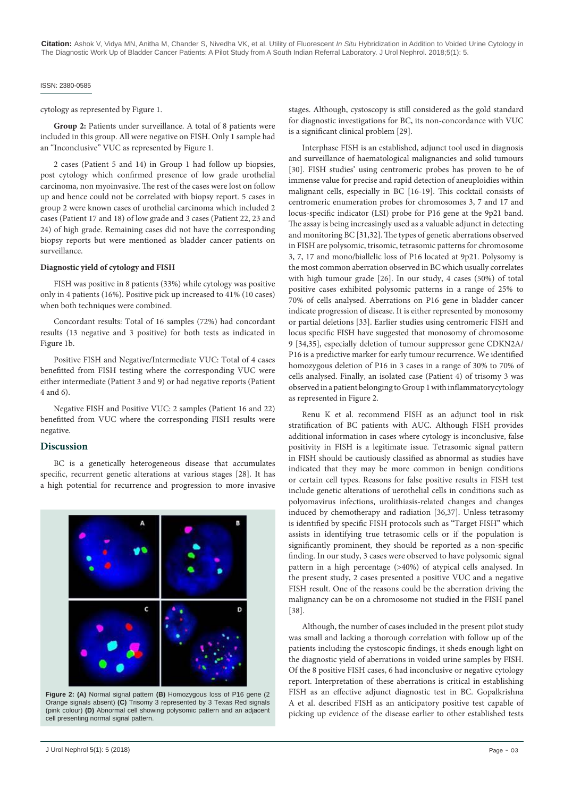**Citation:** Ashok V, Vidya MN, Anitha M, Chander S, Nivedha VK, et al. Utility of Fluorescent *In Situ* Hybridization in Addition to Voided Urine Cytology in The Diagnostic Work Up of Bladder Cancer Patients: A Pilot Study from A South Indian Referral Laboratory. J Urol Nephrol. 2018;5(1): 5.

#### ISSN: 2380-0585

cytology as represented by Figure 1.

**Group 2:** Patients under surveillance. A total of 8 patients were included in this group. All were negative on FISH. Only 1 sample had an "Inconclusive" VUC as represented by Figure 1.

2 cases (Patient 5 and 14) in Group 1 had follow up biopsies, post cytology which confirmed presence of low grade urothelial carcinoma, non myoinvasive. The rest of the cases were lost on follow up and hence could not be correlated with biopsy report. 5 cases in group 2 were known cases of urothelial carcinoma which included 2 cases (Patient 17 and 18) of low grade and 3 cases (Patient 22, 23 and 24) of high grade. Remaining cases did not have the corresponding biopsy reports but were mentioned as bladder cancer patients on surveillance.

#### **Diagnostic yield of cytology and FISH**

FISH was positive in 8 patients (33%) while cytology was positive only in 4 patients (16%). Positive pick up increased to 41% (10 cases) when both techniques were combined.

Concordant results: Total of 16 samples (72%) had concordant results (13 negative and 3 positive) for both tests as indicated in Figure 1b.

Positive FISH and Negative/Intermediate VUC: Total of 4 cases benefitted from FISH testing where the corresponding VUC were either intermediate (Patient 3 and 9) or had negative reports (Patient 4 and 6).

Negative FISH and Positive VUC: 2 samples (Patient 16 and 22) benefitted from VUC where the corresponding FISH results were negative.

#### **Discussion**

BC is a genetically heterogeneous disease that accumulates specific, recurrent genetic alterations at various stages [28]. It has a high potential for recurrence and progression to more invasive



**Figure 2: (A)** Normal signal pattern **(B)** Homozygous loss of P16 gene (2 Orange signals absent) **(C)** Trisomy 3 represented by 3 Texas Red signals (pink colour) **(D)** Abnormal cell showing polysomic pattern and an adjacent cell presenting normal signal pattern.

stages. Although, cystoscopy is still considered as the gold standard for diagnostic investigations for BC, its non-concordance with VUC is a significant clinical problem [29].

Interphase FISH is an established, adjunct tool used in diagnosis and surveillance of haematological malignancies and solid tumours [30]. FISH studies' using centromeric probes has proven to be of immense value for precise and rapid detection of aneuploidies within malignant cells, especially in BC [16-19]. This cocktail consists of centromeric enumeration probes for chromosomes 3, 7 and 17 and locus-specific indicator (LSI) probe for P16 gene at the 9p21 band. The assay is being increasingly used as a valuable adjunct in detecting and monitoring BC [31,32]. The types of genetic aberrations observed in FISH are polysomic, trisomic, tetrasomic patterns for chromosome 3, 7, 17 and mono/biallelic loss of P16 located at 9p21. Polysomy is the most common aberration observed in BC which usually correlates with high tumour grade [26]. In our study, 4 cases (50%) of total positive cases exhibited polysomic patterns in a range of 25% to 70% of cells analysed. Aberrations on P16 gene in bladder cancer indicate progression of disease. It is either represented by monosomy or partial deletions [33]. Earlier studies using centromeric FISH and locus specific FISH have suggested that monosomy of chromosome 9 [34,35], especially deletion of tumour suppressor gene CDKN2A/ P16 is a predictive marker for early tumour recurrence. We identified homozygous deletion of P16 in 3 cases in a range of 30% to 70% of cells analysed. Finally, an isolated case (Patient 4) of trisomy 3 was observed in a patient belonging to Group 1 with inflammatorycytology as represented in Figure 2.

Renu K et al. recommend FISH as an adjunct tool in risk stratification of BC patients with AUC. Although FISH provides additional information in cases where cytology is inconclusive, false positivity in FISH is a legitimate issue. Tetrasomic signal pattern in FISH should be cautiously classified as abnormal as studies have indicated that they may be more common in benign conditions or certain cell types. Reasons for false positive results in FISH test include genetic alterations of uerothelial cells in conditions such as polyomavirus infections, urolithiasis-related changes and changes induced by chemotherapy and radiation [36,37]. Unless tetrasomy is identified by specific FISH protocols such as "Target FISH" which assists in identifying true tetrasomic cells or if the population is significantly prominent, they should be reported as a non-specific finding. In our study, 3 cases were observed to have polysomic signal pattern in a high percentage (>40%) of atypical cells analysed. In the present study, 2 cases presented a positive VUC and a negative FISH result. One of the reasons could be the aberration driving the malignancy can be on a chromosome not studied in the FISH panel [38].

Although, the number of cases included in the present pilot study was small and lacking a thorough correlation with follow up of the patients including the cystoscopic findings, it sheds enough light on the diagnostic yield of aberrations in voided urine samples by FISH. Of the 8 positive FISH cases, 6 had inconclusive or negative cytology report. Interpretation of these aberrations is critical in establishing FISH as an effective adjunct diagnostic test in BC. Gopalkrishna A et al. described FISH as an anticipatory positive test capable of picking up evidence of the disease earlier to other established tests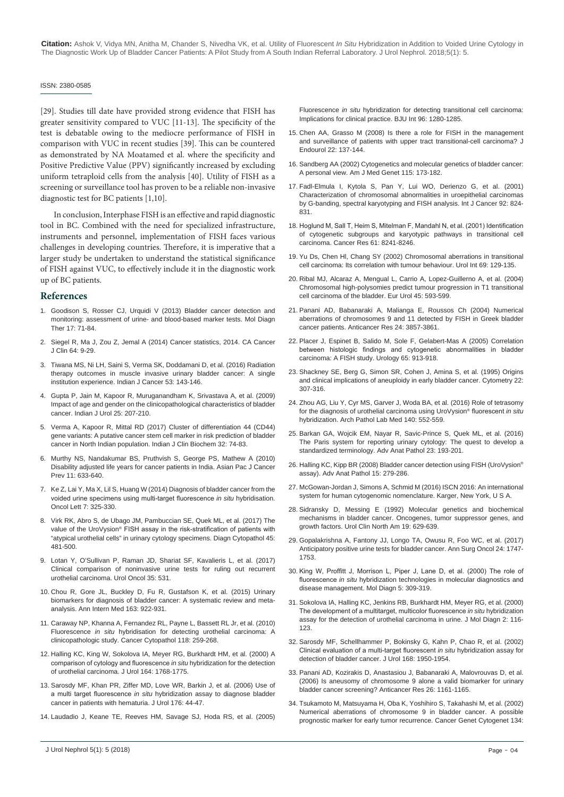**Citation:** Ashok V, Vidya MN, Anitha M, Chander S, Nivedha VK, et al. Utility of Fluorescent *In Situ* Hybridization in Addition to Voided Urine Cytology in The Diagnostic Work Up of Bladder Cancer Patients: A Pilot Study from A South Indian Referral Laboratory. J Urol Nephrol. 2018;5(1): 5.

#### ISSN: 2380-0585

[29]. Studies till date have provided strong evidence that FISH has greater sensitivity compared to VUC [11-13]. The specificity of the test is debatable owing to the mediocre performance of FISH in comparison with VUC in recent studies [39]. This can be countered as demonstrated by NA Moatamed et al. where the specificity and Positive Predictive Value (PPV) significantly increased by excluding uniform tetraploid cells from the analysis [40]. Utility of FISH as a screening or surveillance tool has proven to be a reliable non-invasive diagnostic test for BC patients [1,10].

In conclusion, Interphase FISH is an effective and rapid diagnostic tool in BC. Combined with the need for specialized infrastructure, instruments and personnel, implementation of FISH faces various challenges in developing countries. Therefore, it is imperative that a larger study be undertaken to understand the statistical significance of FISH against VUC, to effectively include it in the diagnostic work up of BC patients.

#### **References**

- 1. [Goodison S, Rosser CJ, Urquidi V \(2013\) Bladder cancer detection and](https://www.ncbi.nlm.nih.gov/pubmed/23479428)  [monitoring: assessment of urine- and blood-based marker tests. Mol Diagn](https://www.ncbi.nlm.nih.gov/pubmed/23479428)  [Ther 17: 71-84.](https://www.ncbi.nlm.nih.gov/pubmed/23479428)
- 2. [Siegel R, Ma J, Zou Z, Jemal A \(2014\) Cancer statistics, 2014. CA Cancer](https://www.ncbi.nlm.nih.gov/pubmed/24399786)  [J Clin 64: 9-29.](https://www.ncbi.nlm.nih.gov/pubmed/24399786)
- 3. [Tiwana MS, Ni LH, Saini S, Verma SK, Doddamani D, et al. \(2016\) Radiation](https://www.ncbi.nlm.nih.gov/pubmed/27146766)  [therapy outcomes in muscle invasive urinary bladder cancer: A single](https://www.ncbi.nlm.nih.gov/pubmed/27146766)  [institution experience. Indian J Cancer 53: 143-146.](https://www.ncbi.nlm.nih.gov/pubmed/27146766)
- 4. [Gupta P, Jain M, Kapoor R, Muruganandham K, Srivastava A, et al. \(2009\)](https://www.ncbi.nlm.nih.gov/pubmed/19672348)  [Impact of age and gender on the clinicopathological characteristics of bladder](https://www.ncbi.nlm.nih.gov/pubmed/19672348)  [cancer. Indian J Urol 25: 207-210.](https://www.ncbi.nlm.nih.gov/pubmed/19672348)
- 5. [Verma A, Kapoor R, Mittal RD \(2017\) Cluster of differentiation 44 \(CD44\)](https://www.ncbi.nlm.nih.gov/pubmed/28149016)  [gene variants: A putative cancer stem cell marker in risk prediction of bladder](https://www.ncbi.nlm.nih.gov/pubmed/28149016)  [cancer in North Indian population. Indian J Clin Biochem 32: 74-83.](https://www.ncbi.nlm.nih.gov/pubmed/28149016)
- 6. [Murthy NS, Nandakumar BS, Pruthvish S, George PS, Mathew A \(2010\)](https://www.ncbi.nlm.nih.gov/pubmed/21039029)  [Disability adjusted life years for cancer patients in India. Asian Pac J Cancer](https://www.ncbi.nlm.nih.gov/pubmed/21039029)  [Prev 11: 633-640.](https://www.ncbi.nlm.nih.gov/pubmed/21039029)
- 7. [Ke Z, Lai Y, Ma X, Lil S, Huang W \(2014\) Diagnosis of bladder cancer from the](https://www.ncbi.nlm.nih.gov/pmc/articles/PMC3881196/)  [voided urine specimens using multi-target fluorescence](https://www.ncbi.nlm.nih.gov/pmc/articles/PMC3881196/) *in situ* hybridisation. [Oncol Lett 7: 325-330.](https://www.ncbi.nlm.nih.gov/pmc/articles/PMC3881196/)
- 8. [Virk RK, Abro S, de Ubago JM, Pambuccian SE, Quek ML, et al. \(2017\) The](https://www.ncbi.nlm.nih.gov/pubmed/28397365)  value of the UroVysion® [FISH assay in the risk-stratification of patients with](https://www.ncbi.nlm.nih.gov/pubmed/28397365)  ["atypical urothelial cells" in urinary cytology specimens. Diagn Cytopathol 45:](https://www.ncbi.nlm.nih.gov/pubmed/28397365)  [481-500.](https://www.ncbi.nlm.nih.gov/pubmed/28397365)
- 9. [Lotan Y, O'Sullivan P, Raman JD, Shariat SF, Kavalieris L, et al. \(2017\)](https://www.ncbi.nlm.nih.gov/pubmed/28366272)  [Clinical comparison of noninvasive urine tests for ruling out recurrent](https://www.ncbi.nlm.nih.gov/pubmed/28366272)  [urothelial carcinoma. Urol Oncol 35: 531.](https://www.ncbi.nlm.nih.gov/pubmed/28366272)
- 10. [Chou R, Gore JL, Buckley D, Fu R, Gustafson K, et al. \(2015\) Urinary](https://www.ncbi.nlm.nih.gov/pubmed/26501851)  [biomarkers for diagnosis of bladder cancer: A systematic review and meta](https://www.ncbi.nlm.nih.gov/pubmed/26501851)[analysis. Ann Intern Med 163: 922-931.](https://www.ncbi.nlm.nih.gov/pubmed/26501851)
- 11. [Caraway NP, Khanna A, Fernandez RL, Payne L, Bassett RL Jr, et al. \(2010\)](https://www.ncbi.nlm.nih.gov/pubmed/20665656)  Fluorescence *in situ* [hybridisation for detecting urothelial carcinoma: A](https://www.ncbi.nlm.nih.gov/pubmed/20665656)  [clinicopathologic study. Cancer Cytopathol 118: 259-268.](https://www.ncbi.nlm.nih.gov/pubmed/20665656)
- 12. [Halling KC, King W, Sokolova IA, Meyer RG, Burkhardt HM, et al. \(2000\) A](https://www.ncbi.nlm.nih.gov/pubmed/11025767)  [comparison of cytology and fluorescence](https://www.ncbi.nlm.nih.gov/pubmed/11025767) *in situ* hybridization for the detection [of urothelial carcinoma. J Urol 164: 1768-1775.](https://www.ncbi.nlm.nih.gov/pubmed/11025767)
- 13. [Sarosdy MF, Khan PR, Ziffer MD, Love WR, Barkin J, et al. \(2006\) Use of](https://www.ncbi.nlm.nih.gov/pubmed/16753364)  a multi target fluorescence *in situ* [hybridization assay to diagnose bladder](https://www.ncbi.nlm.nih.gov/pubmed/16753364)  [cancer in patients with hematuria. J Urol 176: 44-47.](https://www.ncbi.nlm.nih.gov/pubmed/16753364)
- 14. [Laudadio J, Keane TE, Reeves HM, Savage SJ, Hoda RS, et al. \(2005\)](https://www.ncbi.nlm.nih.gov/pubmed/16287445)

Fluorescence *in situ* [hybridization for detecting transitional cell carcinoma:](https://www.ncbi.nlm.nih.gov/pubmed/16287445)  [Implications for clinical practice. BJU Int 96: 1280-1285.](https://www.ncbi.nlm.nih.gov/pubmed/16287445)

- 15. [Chen AA, Grasso M \(2008\) Is there a role for FISH in the management](https://www.liebertpub.com/doi/abs/10.1089/end.2008.0096)  [and surveillance of patients with upper tract transitional-cell carcinoma? J](https://www.liebertpub.com/doi/abs/10.1089/end.2008.0096)  [Endourol 22: 137-144.](https://www.liebertpub.com/doi/abs/10.1089/end.2008.0096)
- 16. [Sandberg AA \(2002\) Cytogenetics and molecular genetics of bladder cancer:](https://www.ncbi.nlm.nih.gov/pubmed/12407698)  [A personal view. Am J Med Genet 115: 173-182.](https://www.ncbi.nlm.nih.gov/pubmed/12407698)
- 17. [Fadl-Elmula I, Kytola S, Pan Y, Lui WO, Derienzo G, et al. \(2001\)](https://www.ncbi.nlm.nih.gov/pubmed/11351302)  [Characterization of chromosomal abnormalities in uroepithelial carcinomas](https://www.ncbi.nlm.nih.gov/pubmed/11351302)  [by G-banding, spectral karyotyping and FISH analysis. Int J Cancer 92: 824-](https://www.ncbi.nlm.nih.gov/pubmed/11351302) [831.](https://www.ncbi.nlm.nih.gov/pubmed/11351302)
- 18. [Hoglund M, Sall T, Heim S, Mitelman F, Mandahl N, et al. \(2001\) Identification](https://www.ncbi.nlm.nih.gov/pubmed/11719456)  [of cytogenetic subgroups and karyotypic pathways in transitional cell](https://www.ncbi.nlm.nih.gov/pubmed/11719456)  [carcinoma. Cancer Res 61: 8241-8246.](https://www.ncbi.nlm.nih.gov/pubmed/11719456)
- 19. [Yu Ds, Chen Hl, Chang SY \(2002\) Chromosomal aberrations in transitional](https://www.ncbi.nlm.nih.gov/pubmed/12187044)  [cell carcinoma: Its correlation with tumour behaviour. Urol Int 69: 129-135.](https://www.ncbi.nlm.nih.gov/pubmed/12187044)
- 20. [Ribal MJ, Alcaraz A, Mengual L, Carrio A, Lopez-Guillerno A, et al. \(2004\)](https://www.ncbi.nlm.nih.gov/pubmed/15082201)  [Chromosomal high-polysomies predict tumour progression in T1 transitional](https://www.ncbi.nlm.nih.gov/pubmed/15082201)  [cell carcinoma of the bladder. Eur Urol 45: 593-599.](https://www.ncbi.nlm.nih.gov/pubmed/15082201)
- 21. [Panani AD, Babanaraki A, Malianga E, Roussos Ch \(2004\) Numerical](https://www.ncbi.nlm.nih.gov/pubmed/15736422)  [aberrations of chromosomes 9 and 11 detected by FISH in Greek bladder](https://www.ncbi.nlm.nih.gov/pubmed/15736422)  [cancer patients. Anticancer Res 24: 3857-3861.](https://www.ncbi.nlm.nih.gov/pubmed/15736422)
- 22. [Placer J, Espinet B, Salido M, Sole F, Gelabert-Mas A \(2005\) Correlation](https://www.ncbi.nlm.nih.gov/pubmed/15882723)  [between histologic findings and cytogenetic abnormalities in bladder](https://www.ncbi.nlm.nih.gov/pubmed/15882723)  [carcinoma: A FISH study. Urology 65: 913-918.](https://www.ncbi.nlm.nih.gov/pubmed/15882723)
- 23. [Shackney SE, Berg G, Simon SR, Cohen J, Amina S, et al. \(1995\) Origins](https://www.ncbi.nlm.nih.gov/pubmed/8749781)  [and clinical implications of aneuploidy in early bladder cancer. Cytometry 22:](https://www.ncbi.nlm.nih.gov/pubmed/8749781)  [307-316.](https://www.ncbi.nlm.nih.gov/pubmed/8749781)
- 24. [Zhou AG, Liu Y, Cyr MS, Garver J, Woda BA, et al. \(2016\) Role of tetrasomy](https://www.ncbi.nlm.nih.gov/pubmed/27232347)  [for the diagnosis of urothelial carcinoma using UroVysion®](https://www.ncbi.nlm.nih.gov/pubmed/27232347) fluorescent *in situ* [hybridization. Arch Pathol Lab Med 140: 552-559.](https://www.ncbi.nlm.nih.gov/pubmed/27232347)
- 25. [Barkan GA, Wojcik EM, Nayar R, Savic-Prince S, Quek ML, et al. \(2016\)](https://www.ncbi.nlm.nih.gov/pubmed/27233050)  [The Paris system for reporting urinary cytology: The quest to develop a](https://www.ncbi.nlm.nih.gov/pubmed/27233050)  [standardized terminology. Adv Anat Pathol 23: 193-201.](https://www.ncbi.nlm.nih.gov/pubmed/27233050)
- 26. [Halling KC, Kipp BR \(2008\) Bladder cancer detection using FISH \(UroVysion®](https://www.ncbi.nlm.nih.gov/pubmed/18724101) [assay\). Adv Anat Pathol 15: 279-286.](https://www.ncbi.nlm.nih.gov/pubmed/18724101)
- 27. [McGowan-Jordan J, Simons A, Schmid M \(2016\) ISCN 2016: An international](https://www.amazon.in/ISCN-2016-International-Cytogenomic-Nomenclature/dp/3318058572)  [system for human cytogenomic nomenclature. Karger, New York, U S A.](https://www.amazon.in/ISCN-2016-International-Cytogenomic-Nomenclature/dp/3318058572)
- 28. [Sidransky D, Messing E \(1992\) Molecular genetics and biochemical](https://www.ncbi.nlm.nih.gov/pubmed/1441021)  [mechanisms in bladder cancer. Oncogenes, tumor suppressor genes, and](https://www.ncbi.nlm.nih.gov/pubmed/1441021)  [growth factors. Urol Clin North Am 19: 629-639.](https://www.ncbi.nlm.nih.gov/pubmed/1441021)
- 29. [Gopalakrishna A, Fantony JJ, Longo TA, Owusu R, Foo WC, et al. \(2017\)](https://www.ncbi.nlm.nih.gov/pubmed/28074325)  [Anticipatory positive urine tests for bladder cancer. Ann Surg Oncol 24: 1747-](https://www.ncbi.nlm.nih.gov/pubmed/28074325) [1753.](https://www.ncbi.nlm.nih.gov/pubmed/28074325)
- 30. [King W, Proffitt J, Morrison L, Piper J, Lane D, et al. \(2000\) The role of](https://www.ncbi.nlm.nih.gov/pubmed/11172495)  fluorescence *in situ* [hybridization technologies in molecular diagnostics and](https://www.ncbi.nlm.nih.gov/pubmed/11172495)  [disease management. Mol Diagn 5: 309-319.](https://www.ncbi.nlm.nih.gov/pubmed/11172495)
- 31. [Sokolova IA, Halling KC, Jenkins RB, Burkhardt HM, Meyer RG, et al. \(2000\)](https://www.ncbi.nlm.nih.gov/pubmed/11229514)  [The development of a multitarget, multicolor fluorescence](https://www.ncbi.nlm.nih.gov/pubmed/11229514) *in situ* hybridization [assay for the detection of urothelial carcinoma in urine. J Mol Diagn 2: 116-](https://www.ncbi.nlm.nih.gov/pubmed/11229514) [123.](https://www.ncbi.nlm.nih.gov/pubmed/11229514)
- 32. [Sarosdy MF, Schellhammer P, Bokinsky G, Kahn P, Chao R, et al. \(2002\)](https://www.ncbi.nlm.nih.gov/pubmed/12394683)  [Clinical evaluation of a multi-target fluorescent](https://www.ncbi.nlm.nih.gov/pubmed/12394683) *in situ* hybridization assay for [detection of bladder cancer. J Urol 168: 1950-1954.](https://www.ncbi.nlm.nih.gov/pubmed/12394683)
- 33. [Panani AD, Kozirakis D, Anastasiou J, Babanaraki A, Malovrouvas D, et al.](https://www.ncbi.nlm.nih.gov/pubmed/16619518)  [\(2006\) Is aneusomy of chromosome 9 alone a valid biomarker for urinary](https://www.ncbi.nlm.nih.gov/pubmed/16619518)  [bladder cancer screening? Anticancer Res 26: 1161-1165.](https://www.ncbi.nlm.nih.gov/pubmed/16619518)
- 34. [Tsukamoto M, Matsuyama H, Oba K, Yoshihiro S, Takahashi M, et al. \(2002\)](https://www.ncbi.nlm.nih.gov/pubmed/11996795)  [Numerical aberrations of chromosome 9 in bladder cancer. A possible](https://www.ncbi.nlm.nih.gov/pubmed/11996795)  [prognostic marker for early tumor recurrence. Cancer Genet Cytogenet 134:](https://www.ncbi.nlm.nih.gov/pubmed/11996795)